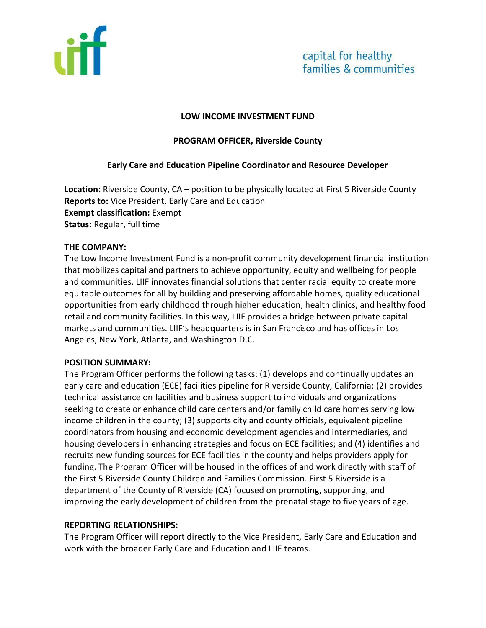

#### **LOW INCOME INVESTMENT FUND**

### **PROGRAM OFFICER, Riverside County**

### **Early Care and Education Pipeline Coordinator and Resource Developer**

**Location:** Riverside County, CA – position to be physically located at First 5 Riverside County **Reports to:** Vice President, Early Care and Education **Exempt classification:** Exempt **Status:** Regular, full time

### **THE COMPANY:**

The Low Income Investment Fund is a non-profit community development financial institution that mobilizes capital and partners to achieve opportunity, equity and wellbeing for people and communities. LIIF innovates financial solutions that center racial equity to create more equitable outcomes for all by building and preserving affordable homes, quality educational opportunities from early childhood through higher education, health clinics, and healthy food retail and community facilities. In this way, LIIF provides a bridge between private capital markets and communities. LIIF's headquarters is in San Francisco and has offices in Los Angeles, New York, Atlanta, and Washington D.C.

### **POSITION SUMMARY:**

The Program Officer performs the following tasks: (1) develops and continually updates an early care and education (ECE) facilities pipeline for Riverside County, California; (2) provides technical assistance on facilities and business support to individuals and organizations seeking to create or enhance child care centers and/or family child care homes serving low income children in the county; (3) supports city and county officials, equivalent pipeline coordinators from housing and economic development agencies and intermediaries, and housing developers in enhancing strategies and focus on ECE facilities; and (4) identifies and recruits new funding sources for ECE facilities in the county and helps providers apply for funding. The Program Officer will be housed in the offices of and work directly with staff of the First 5 Riverside County Children and Families Commission. First 5 Riverside is a department of the County of Riverside (CA) focused on promoting, supporting, and improving the early development of children from the prenatal stage to five years of age.

#### **REPORTING RELATIONSHIPS:**

The Program Officer will report directly to the Vice President, Early Care and Education and work with the broader Early Care and Education and LIIF teams.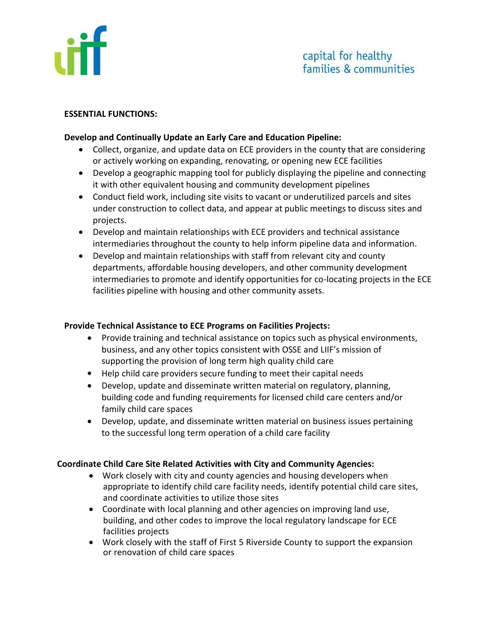

#### **ESSENTIAL FUNCTIONS:**

### **Develop and Continually Update an Early Care and Education Pipeline:**

- Collect, organize, and update data on ECE providers in the county that are considering or actively working on expanding, renovating, or opening new ECE facilities
- Develop a geographic mapping tool for publicly displaying the pipeline and connecting it with other equivalent housing and community development pipelines
- Conduct field work, including site visits to vacant or underutilized parcels and sites under construction to collect data, and appear at public meetings to discuss sites and projects.
- Develop and maintain relationships with ECE providers and technical assistance intermediaries throughout the county to help inform pipeline data and information.
- Develop and maintain relationships with staff from relevant city and county departments, affordable housing developers, and other community development intermediaries to promote and identify opportunities for co-locating projects in the ECE facilities pipeline with housing and other community assets.

### **Provide Technical Assistance to ECE Programs on Facilities Projects:**

- Provide training and technical assistance on topics such as physical environments, business, and any other topics consistent with OSSE and LIIF's mission of supporting the provision of long term high quality child care
- Help child care providers secure funding to meet their capital needs
- Develop, update and disseminate written material on regulatory, planning, building code and funding requirements for licensed child care centers and/or family child care spaces
- Develop, update, and disseminate written material on business issues pertaining to the successful long term operation of a child care facility

# **Coordinate Child Care Site Related Activities with City and Community Agencies:**

- Work closely with city and county agencies and housing developers when appropriate to identify child care facility needs, identify potential child care sites, and coordinate activities to utilize those sites
- Coordinate with local planning and other agencies on improving land use, building, and other codes to improve the local regulatory landscape for ECE facilities projects
- Work closely with the staff of First 5 Riverside County to support the expansion or renovation of child care spaces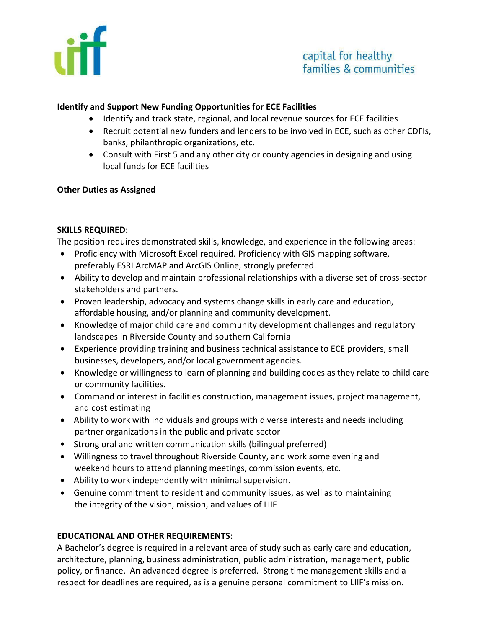

## **Identify and Support New Funding Opportunities for ECE Facilities**

- Identify and track state, regional, and local revenue sources for ECE facilities
- Recruit potential new funders and lenders to be involved in ECE, such as other CDFIs, banks, philanthropic organizations, etc.
- Consult with First 5 and any other city or county agencies in designing and using local funds for ECE facilities

### **Other Duties as Assigned**

### **SKILLS REQUIRED:**

The position requires demonstrated skills, knowledge, and experience in the following areas:

- Proficiency with Microsoft Excel required. Proficiency with GIS mapping software, preferably ESRI ArcMAP and ArcGIS Online, strongly preferred.
- Ability to develop and maintain professional relationships with a diverse set of cross-sector stakeholders and partners.
- Proven leadership, advocacy and systems change skills in early care and education, affordable housing, and/or planning and community development.
- Knowledge of major child care and community development challenges and regulatory landscapes in Riverside County and southern California
- Experience providing training and business technical assistance to ECE providers, small businesses, developers, and/or local government agencies.
- Knowledge or willingness to learn of planning and building codes as they relate to child care or community facilities.
- Command or interest in facilities construction, management issues, project management, and cost estimating
- Ability to work with individuals and groups with diverse interests and needs including partner organizations in the public and private sector
- Strong oral and written communication skills (bilingual preferred)
- Willingness to travel throughout Riverside County, and work some evening and weekend hours to attend planning meetings, commission events, etc.
- Ability to work independently with minimal supervision.
- Genuine commitment to resident and community issues, as well as to maintaining the integrity of the vision, mission, and values of LIIF

# **EDUCATIONAL AND OTHER REQUIREMENTS:**

A Bachelor's degree is required in a relevant area of study such as early care and education, architecture, planning, business administration, public administration, management, public policy, or finance. An advanced degree is preferred. Strong time management skills and a respect for deadlines are required, as is a genuine personal commitment to LIIF's mission.